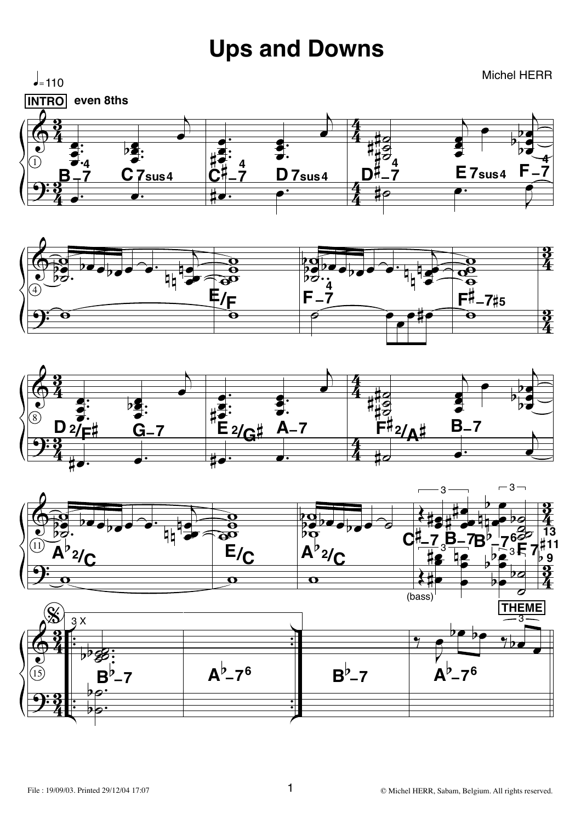## **Ups and Downs**

 $J = 110$ **INTRO** even 8ths  $\mathbf{b}$ 4 E7sus4  $C$   $7$ sus $4$ D<sub>7sus4</sub>







File: 19/09/03. Printed 29/12/04 17:07

**Michel HERR**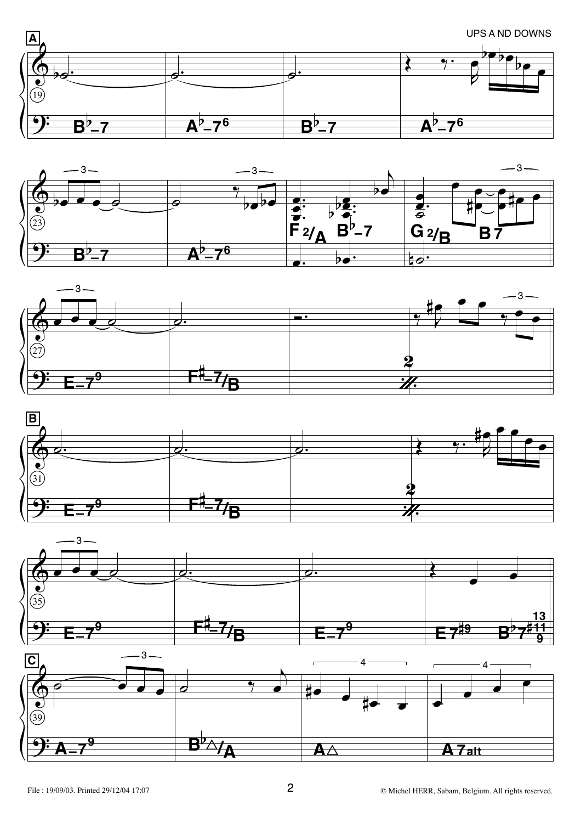









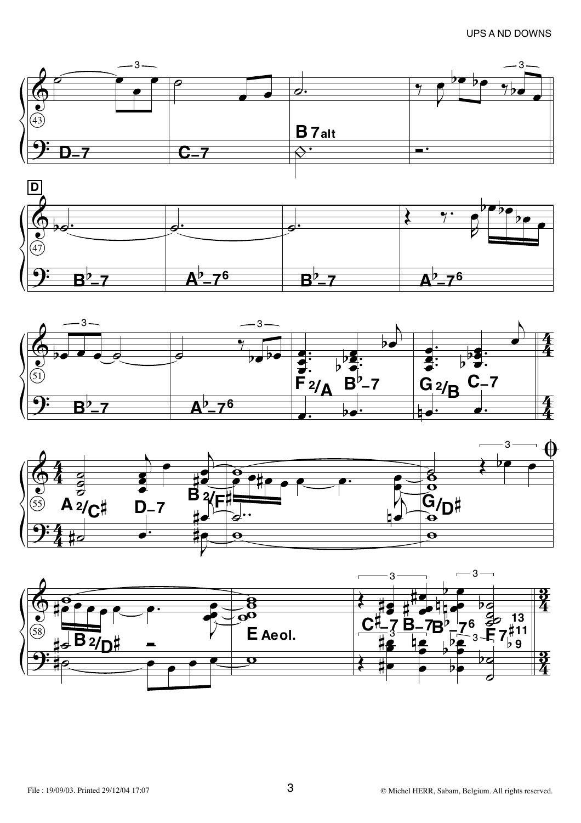







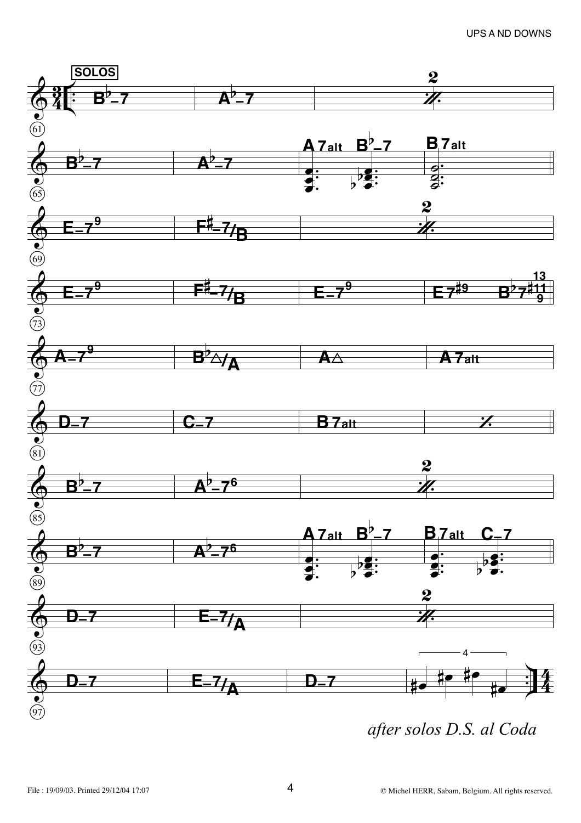UPS A ND DOWNS



File: 19/09/03. Printed 29/12/04 17:07

 $\overline{4}$